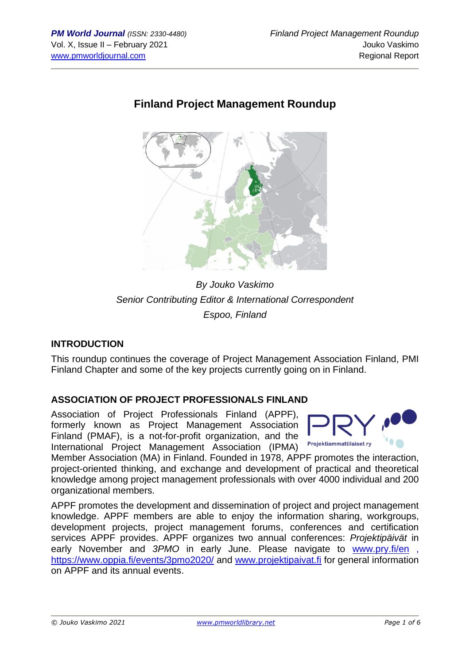# **Finland Project Management Roundup**



*By Jouko Vaskimo Senior Contributing Editor & International Correspondent Espoo, Finland*

## **INTRODUCTION**

This roundup continues the coverage of Project Management Association Finland, PMI Finland Chapter and some of the key projects currently going on in Finland.

## **ASSOCIATION OF PROJECT PROFESSIONALS FINLAND**

Association of Project Professionals Finland (APPF), formerly known as Project Management Association Finland (PMAF), is a not-for-profit organization, and the International Project Management Association (IPMA)



Member Association (MA) in Finland. Founded in 1978, APPF promotes the interaction, project-oriented thinking, and exchange and development of practical and theoretical knowledge among project management professionals with over 4000 individual and 200 organizational members.

APPF promotes the development and dissemination of project and project management knowledge. APPF members are able to enjoy the information sharing, workgroups, development projects, project management forums, conferences and certification services APPF provides. APPF organizes two annual conferences: *Projektipäivät* in early November and *3PMO* in early June. Please navigate to [www.pry.fi/en](http://www.pry.fi/en) , <https://www.oppia.fi/events/3pmo2020/> and [www.projektipaivat.fi](http://www.projektipaivat.fi/) for general information on APPF and its annual events.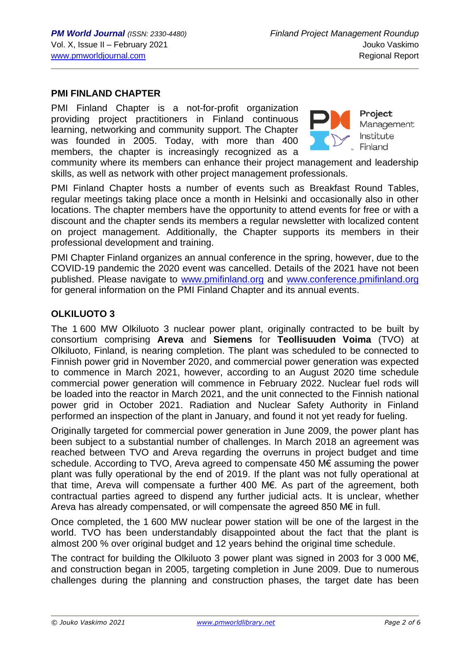### **PMI FINLAND CHAPTER**

PMI Finland Chapter is a not-for-profit organization providing project practitioners in Finland continuous learning, networking and community support. The Chapter was founded in 2005. Today, with more than 400 members, the chapter is increasingly recognized as a



**Project** Management Institute Finland

community where its members can enhance their project management and leadership skills, as well as network with other project management professionals.

PMI Finland Chapter hosts a number of events such as Breakfast Round Tables, regular meetings taking place once a month in Helsinki and occasionally also in other locations. The chapter members have the opportunity to attend events for free or with a discount and the chapter sends its members a regular newsletter with localized content on project management. Additionally, the Chapter supports its members in their professional development and training.

PMI Chapter Finland organizes an annual conference in the spring, however, due to the COVID-19 pandemic the 2020 event was cancelled. Details of the 2021 have not been published. Please navigate to [www.pmifinland.org](http://www.pmifinland.org/) and [www.conference.pmifinland.org](http://www.conference.pmifinland.org/) for general information on the PMI Finland Chapter and its annual events.

#### **OLKILUOTO 3**

The 1 600 MW Olkiluoto 3 nuclear power plant, originally contracted to be built by consortium comprising **Areva** and **Siemens** for **Teollisuuden Voima** (TVO) at Olkiluoto, Finland, is nearing completion. The plant was scheduled to be connected to Finnish power grid in November 2020, and commercial power generation was expected to commence in March 2021, however, according to an August 2020 time schedule commercial power generation will commence in February 2022. Nuclear fuel rods will be loaded into the reactor in March 2021, and the unit connected to the Finnish national power grid in October 2021. Radiation and Nuclear Safety Authority in Finland performed an inspection of the plant in January, and found it not yet ready for fueling.

Originally targeted for commercial power generation in June 2009, the power plant has been subject to a substantial number of challenges. In March 2018 an agreement was reached between TVO and Areva regarding the overruns in project budget and time schedule. According to TVO, Areva agreed to compensate 450 M€ assuming the power plant was fully operational by the end of 2019. If the plant was not fully operational at that time, Areva will compensate a further 400 M€. As part of the agreement, both contractual parties agreed to dispend any further judicial acts. It is unclear, whether Areva has already compensated, or will compensate the agreed 850 M€ in full.

Once completed, the 1 600 MW nuclear power station will be one of the largest in the world. TVO has been understandably disappointed about the fact that the plant is almost 200 % over original budget and 12 years behind the original time schedule.

The contract for building the Olkiluoto 3 power plant was signed in 2003 for 3 000 M€, and construction began in 2005, targeting completion in June 2009. Due to numerous challenges during the planning and construction phases, the target date has been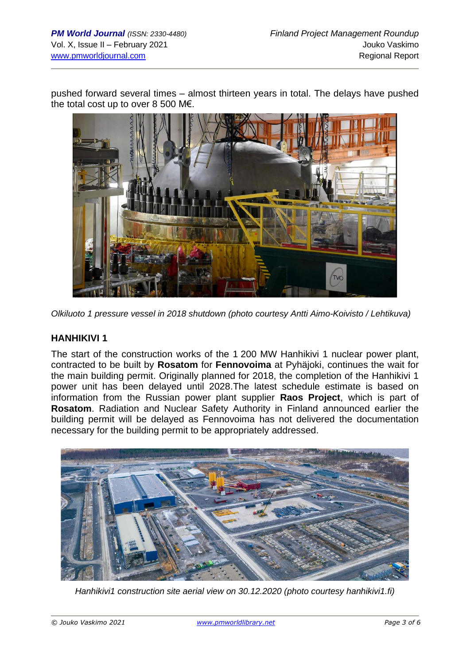pushed forward several times – almost thirteen years in total. The delays have pushed the total cost up to over 8 500 M€.



*Olkiluoto 1 pressure vessel in 2018 shutdown (photo courtesy Antti Aimo-Koivisto / Lehtikuva)*

### **HANHIKIVI 1**

The start of the construction works of the 1 200 MW Hanhikivi 1 nuclear power plant, contracted to be built by **Rosatom** for **Fennovoima** at Pyhäjoki, continues the wait for the main building permit. Originally planned for 2018, the completion of the Hanhikivi 1 power unit has been delayed until 2028.The latest schedule estimate is based on information from the Russian power plant supplier **Raos Project**, which is part of **Rosatom**. Radiation and Nuclear Safety Authority in Finland announced earlier the building permit will be delayed as Fennovoima has not delivered the documentation necessary for the building permit to be appropriately addressed.



*Hanhikivi1 construction site aerial view on 30.12.2020 (photo courtesy hanhikivi1.fi)*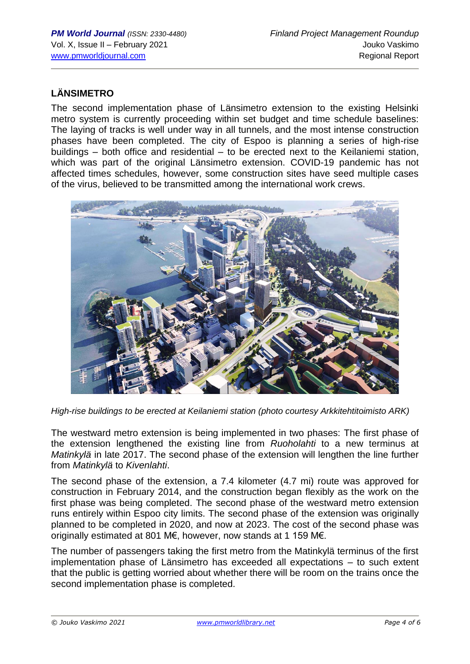# **LÄNSIMETRO**

The second implementation phase of Länsimetro extension to the existing Helsinki metro system is currently proceeding within set budget and time schedule baselines: The laying of tracks is well under way in all tunnels, and the most intense construction phases have been completed. The city of Espoo is planning a series of high-rise buildings – both office and residential – to be erected next to the Keilaniemi station, which was part of the original Länsimetro extension. COVID-19 pandemic has not affected times schedules, however, some construction sites have seed multiple cases of the virus, believed to be transmitted among the international work crews.



*High-rise buildings to be erected at Keilaniemi station (photo courtesy Arkkitehtitoimisto ARK)*

The westward metro extension is being implemented in two phases: The first phase of the extension lengthened the existing line from *[Ruoholahti](https://en.wikipedia.org/wiki/Ruoholahti_metro_station)* to a new terminus at *[Matinkylä](https://en.wikipedia.org/wiki/Matinkyl%C3%A4)* in late 2017. The second phase of the extension will lengthen the line further from *Matinkylä* to *Kivenlahti*.

The second phase of the extension, a 7.4 kilometer (4.7 mi) route was approved for construction in February 2014, and the construction began flexibly as the work on the first phase was being completed. The second phase of the westward metro extension runs entirely within Espoo city limits. The second phase of the extension was originally planned to be completed in 2020, and now at 2023. The cost of the second phase was originally estimated at 801 M€, however, now stands at 1 159 M€.

The number of passengers taking the first metro from the Matinkylä terminus of the first implementation phase of Länsimetro has exceeded all expectations – to such extent that the public is getting worried about whether there will be room on the trains once the second implementation phase is completed.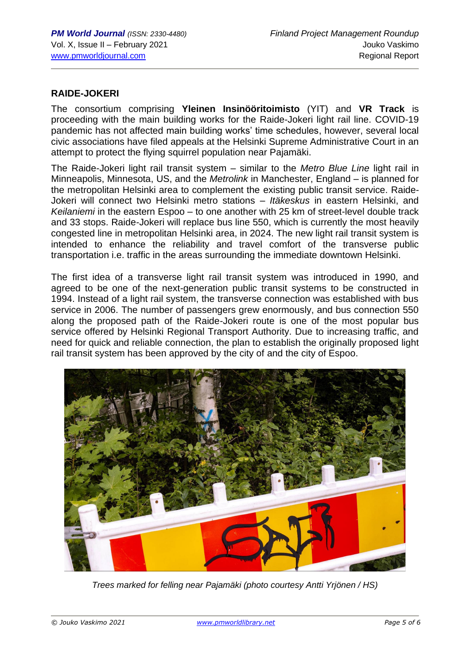## **RAIDE-JOKERI**

The consortium comprising **Yleinen Insinööritoimisto** (YIT) and **VR Track** is proceeding with the main building works for the Raide-Jokeri light rail line. COVID-19 pandemic has not affected main building works' time schedules, however, several local civic associations have filed appeals at the Helsinki Supreme Administrative Court in an attempt to protect the flying squirrel population near Pajamäki.

The Raide-Jokeri light rail transit system – similar to the *Metro Blue Line* light rail in Minneapolis, Minnesota, US, and the *Metrolink* in Manchester, England – is planned for the metropolitan Helsinki area to complement the existing public transit service. Raide-Jokeri will connect two Helsinki metro stations – *Itäkeskus* in eastern Helsinki, and *Keilaniemi* in the eastern Espoo – to one another with 25 km of street-level double track and 33 stops. Raide-Jokeri will replace bus line 550, which is currently the most heavily congested line in metropolitan Helsinki area, in 2024. The new light rail transit system is intended to enhance the reliability and travel comfort of the transverse public transportation i.e. traffic in the areas surrounding the immediate downtown Helsinki.

The first idea of a transverse light rail transit system was introduced in 1990, and agreed to be one of the next-generation public transit systems to be constructed in 1994. Instead of a light rail system, the transverse connection was established with bus service in 2006. The number of passengers grew enormously, and bus connection 550 along the proposed path of the Raide-Jokeri route is one of the most popular bus service offered by Helsinki Regional Transport Authority. Due to increasing traffic, and need for quick and reliable connection, the plan to establish the originally proposed light rail transit system has been approved by the city of and the city of Espoo.



*Trees marked for felling near Pajamäki (photo courtesy Antti Yrjönen / HS)*